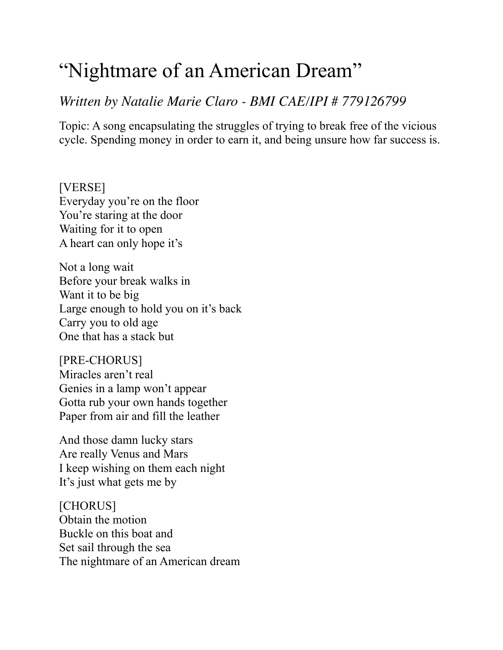## "Nightmare of an American Dream"

## *Written by Natalie Marie Claro - BMI CAE/IPI # 779126799*

Topic: A song encapsulating the struggles of trying to break free of the vicious cycle. Spending money in order to earn it, and being unsure how far success is.

[VERSE] Everyday you're on the floor You're staring at the door Waiting for it to open A heart can only hope it's

Not a long wait Before your break walks in Want it to be big Large enough to hold you on it's back Carry you to old age One that has a stack but

[PRE-CHORUS] Miracles aren't real Genies in a lamp won't appear Gotta rub your own hands together Paper from air and fill the leather

And those damn lucky stars Are really Venus and Mars I keep wishing on them each night It's just what gets me by

[CHORUS] Obtain the motion Buckle on this boat and Set sail through the sea The nightmare of an American dream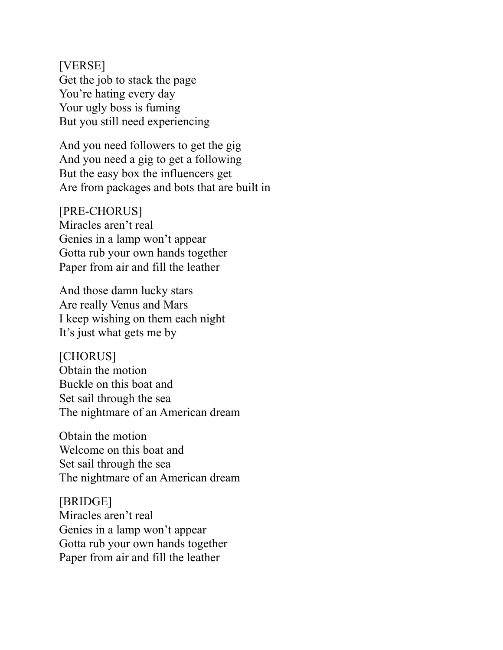[VERSE] Get the job to stack the page You're hating every day Your ugly boss is fuming But you still need experiencing

And you need followers to get the gig And you need a gig to get a following But the easy box the influencers get Are from packages and bots that are built in

[PRE-CHORUS] Miracles aren't real Genies in a lamp won't appear Gotta rub your own hands together Paper from air and fill the leather

And those damn lucky stars Are really Venus and Mars I keep wishing on them each night It's just what gets me by

[CHORUS] Obtain the motion Buckle on this boat and Set sail through the sea The nightmare of an American dream

Obtain the motion Welcome on this boat and Set sail through the sea The nightmare of an American dream

[BRIDGE] Miracles aren't real Genies in a lamp won't appear Gotta rub your own hands together Paper from air and fill the leather